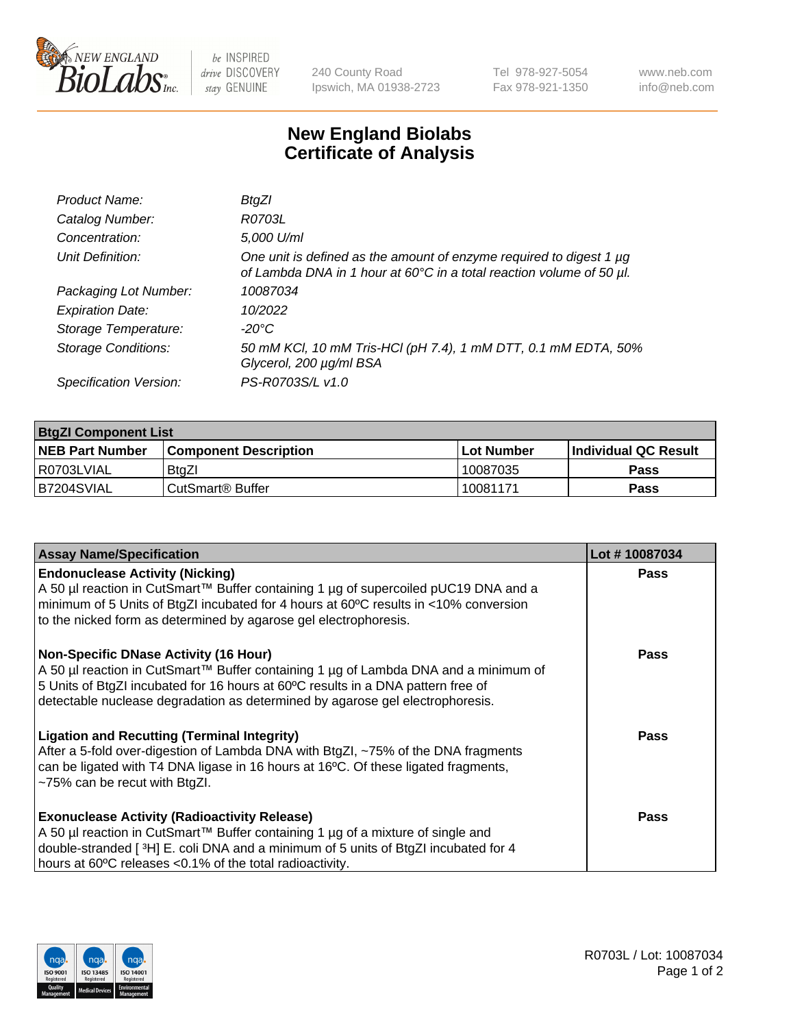

 $be$  INSPIRED drive DISCOVERY stay GENUINE

240 County Road Ipswich, MA 01938-2723 Tel 978-927-5054 Fax 978-921-1350 www.neb.com info@neb.com

## **New England Biolabs Certificate of Analysis**

| Product Name:              | BtgZl                                                                                                                                            |
|----------------------------|--------------------------------------------------------------------------------------------------------------------------------------------------|
| Catalog Number:            | R0703L                                                                                                                                           |
| Concentration:             | 5,000 U/ml                                                                                                                                       |
| Unit Definition:           | One unit is defined as the amount of enzyme required to digest $1 \mu g$<br>of Lambda DNA in 1 hour at 60°C in a total reaction volume of 50 µl. |
| Packaging Lot Number:      | 10087034                                                                                                                                         |
| <b>Expiration Date:</b>    | 10/2022                                                                                                                                          |
| Storage Temperature:       | -20°C                                                                                                                                            |
| <b>Storage Conditions:</b> | 50 mM KCl, 10 mM Tris-HCl (pH 7.4), 1 mM DTT, 0.1 mM EDTA, 50%<br>Glycerol, 200 µg/ml BSA                                                        |
| Specification Version:     | PS-R0703S/L v1.0                                                                                                                                 |

| <b>BtgZI Component List</b> |                         |              |                             |  |
|-----------------------------|-------------------------|--------------|-----------------------------|--|
| <b>NEB Part Number</b>      | l Component Description | l Lot Number | <b>Individual QC Result</b> |  |
| I R0703LVIAL                | BtaZl                   | 10087035     | Pass                        |  |
| IB7204SVIAL                 | l CutSmart® Buffer_     | 10081171     | Pass                        |  |

| <b>Assay Name/Specification</b>                                                                                                                                                                                                                                                                          | Lot #10087034 |
|----------------------------------------------------------------------------------------------------------------------------------------------------------------------------------------------------------------------------------------------------------------------------------------------------------|---------------|
| <b>Endonuclease Activity (Nicking)</b><br>A 50 µl reaction in CutSmart™ Buffer containing 1 µg of supercoiled pUC19 DNA and a<br>minimum of 5 Units of BtgZI incubated for 4 hours at 60°C results in <10% conversion<br>to the nicked form as determined by agarose gel electrophoresis.                | <b>Pass</b>   |
| <b>Non-Specific DNase Activity (16 Hour)</b><br>A 50 µl reaction in CutSmart™ Buffer containing 1 µg of Lambda DNA and a minimum of<br>5 Units of BtgZI incubated for 16 hours at 60°C results in a DNA pattern free of<br>detectable nuclease degradation as determined by agarose gel electrophoresis. | <b>Pass</b>   |
| <b>Ligation and Recutting (Terminal Integrity)</b><br>After a 5-fold over-digestion of Lambda DNA with BtgZI, ~75% of the DNA fragments<br>can be ligated with T4 DNA ligase in 16 hours at 16°C. Of these ligated fragments,<br>$~1$ -75% can be recut with BtgZl.                                      | Pass          |
| <b>Exonuclease Activity (Radioactivity Release)</b><br>A 50 µl reaction in CutSmart™ Buffer containing 1 µg of a mixture of single and<br>double-stranded [3H] E. coli DNA and a minimum of 5 units of BtgZI incubated for 4<br>hours at 60°C releases <0.1% of the total radioactivity.                 | Pass          |